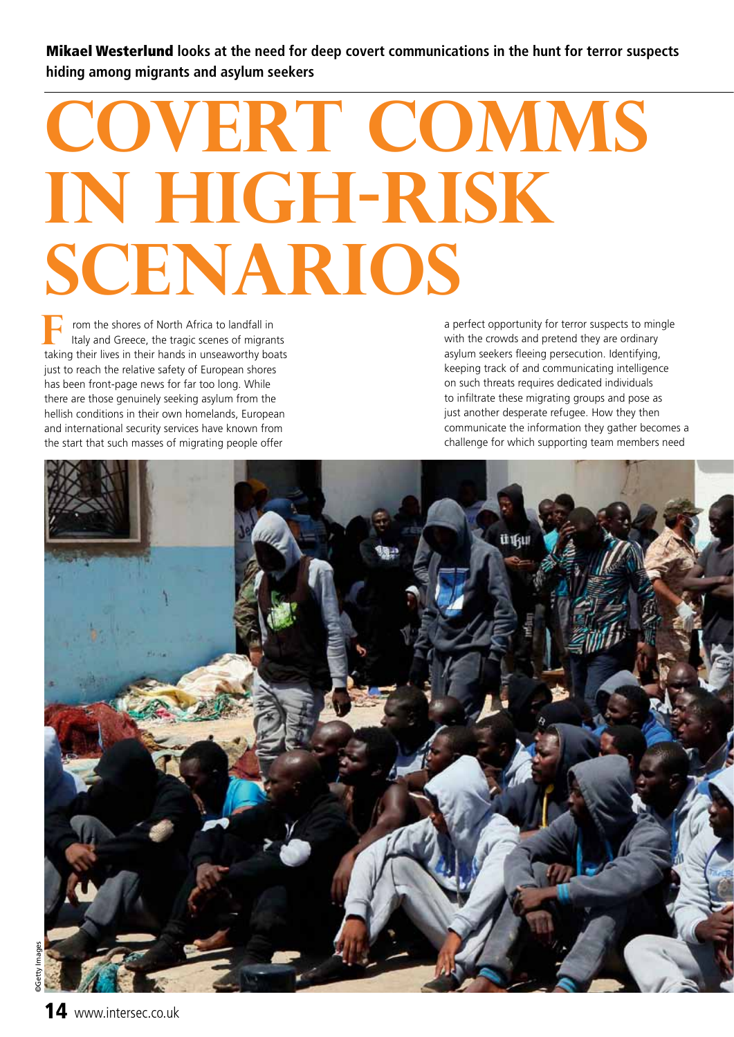Mikael Westerlund **looks at the need for deep covert communications in the hunt for terror suspects hiding among migrants and asylum seekers** 

## **Covert comms in high-risk scenarios**

 rom the shores of North Africa to landfall in Italy and Greece, the tragic scenes of migrants **F** rom the shores of North Africa to landfall in Italy and Greece, the tragic scenes of migrants taking their lives in their hands in unseaworthy boats just to reach the relative safety of European shores has been front-page news for far too long. While there are those genuinely seeking asylum from the hellish conditions in their own homelands, European and international security services have known from the start that such masses of migrating people offer

a perfect opportunity for terror suspects to mingle with the crowds and pretend they are ordinary asylum seekers fleeing persecution. Identifying, keeping track of and communicating intelligence on such threats requires dedicated individuals to infiltrate these migrating groups and pose as just another desperate refugee. How they then communicate the information they gather becomes a challenge for which supporting team members need

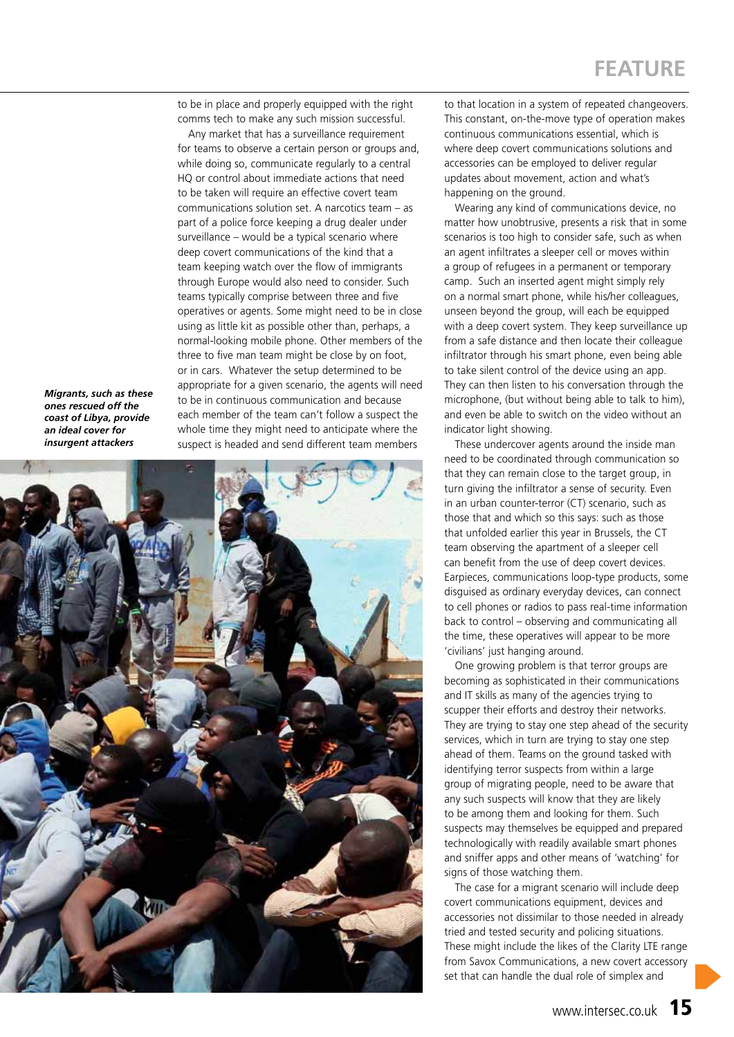to be in place and properly equipped with the right comms tech to make any such mission successful.

Any market that has a surveillance requirement for teams to observe a certain person or groups and, while doing so, communicate regularly to a central HQ or control about immediate actions that need to be taken will require an effective covert team communications solution set. A narcotics team – as part of a police force keeping a drug dealer under surveillance – would be a typical scenario where deep covert communications of the kind that a team keeping watch over the flow of immigrants through Europe would also need to consider. Such teams typically comprise between three and five operatives or agents. Some might need to be in close using as little kit as possible other than, perhaps, a normal-looking mobile phone. Other members of the three to five man team might be close by on foot, or in cars. Whatever the setup determined to be appropriate for a given scenario, the agents will need to be in continuous communication and because each member of the team can't follow a suspect the whole time they might need to anticipate where the suspect is headed and send different team members

*Migrants, such as these ones rescued off the coast of Libya, provide an ideal cover for insurgent attackers*



to that location in a system of repeated changeovers. This constant, on-the-move type of operation makes continuous communications essential, which is where deep covert communications solutions and accessories can be employed to deliver regular updates about movement, action and what's happening on the ground.

Wearing any kind of communications device, no matter how unobtrusive, presents a risk that in some scenarios is too high to consider safe, such as when an agent infiltrates a sleeper cell or moves within a group of refugees in a permanent or temporary camp. Such an inserted agent might simply rely on a normal smart phone, while his/her colleagues, unseen beyond the group, will each be equipped with a deep covert system. They keep surveillance up from a safe distance and then locate their colleague infiltrator through his smart phone, even being able to take silent control of the device using an app. They can then listen to his conversation through the microphone, (but without being able to talk to him), and even be able to switch on the video without an indicator light showing.

These undercover agents around the inside man need to be coordinated through communication so that they can remain close to the target group, in turn giving the infiltrator a sense of security. Even in an urban counter-terror (CT) scenario, such as those that and which so this says: such as those that unfolded earlier this year in Brussels, the CT team observing the apartment of a sleeper cell can benefit from the use of deep covert devices. Earpieces, communications loop-type products, some disguised as ordinary everyday devices, can connect to cell phones or radios to pass real-time information back to control – observing and communicating all the time, these operatives will appear to be more 'civilians' just hanging around.

One growing problem is that terror groups are becoming as sophisticated in their communications and IT skills as many of the agencies trying to scupper their efforts and destroy their networks. They are trying to stay one step ahead of the security services, which in turn are trying to stay one step ahead of them. Teams on the ground tasked with identifying terror suspects from within a large group of migrating people, need to be aware that any such suspects will know that they are likely to be among them and looking for them. Such suspects may themselves be equipped and prepared technologically with readily available smart phones and sniffer apps and other means of 'watching' for signs of those watching them.

The case for a migrant scenario will include deep covert communications equipment, devices and accessories not dissimilar to those needed in already tried and tested security and policing situations. These might include the likes of the Clarity LTE range from Savox Communications, a new covert accessory set that can handle the dual role of simplex and